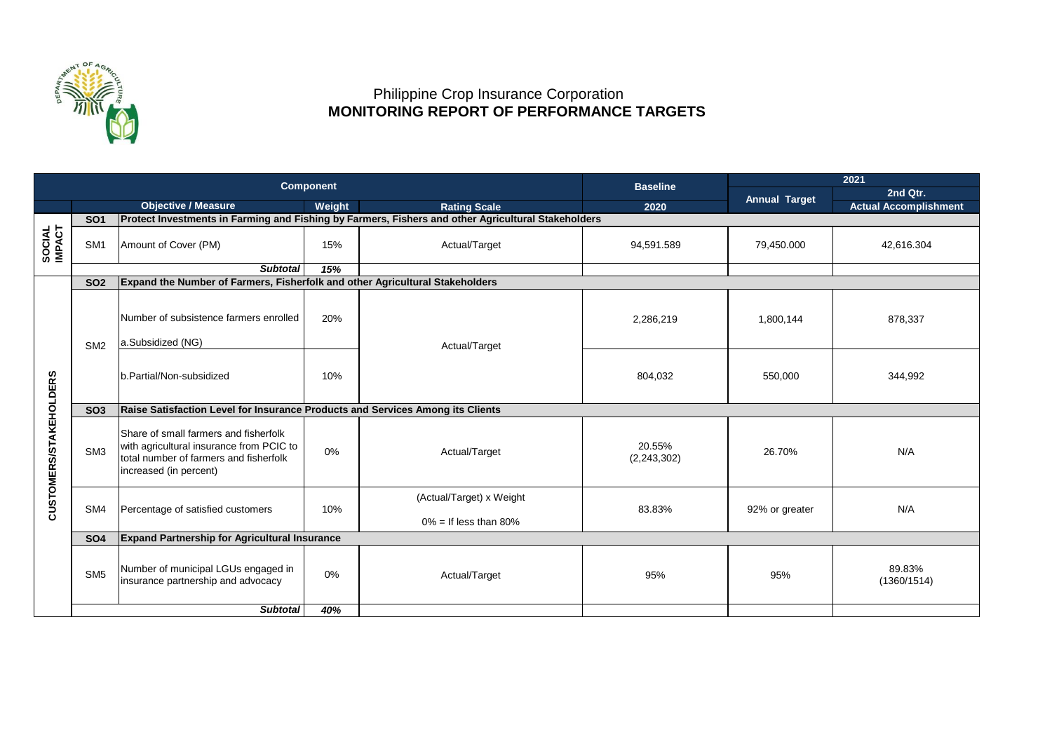

## Philippine Crop Insurance Corporation  **MONITORING REPORT OF PERFORMANCE TARGETS**

| <b>Component</b>              |                 |                                                                                                                                                       |        |                                                      | <b>Baseline</b>         | 2021           |                              |  |  |  |  |  |
|-------------------------------|-----------------|-------------------------------------------------------------------------------------------------------------------------------------------------------|--------|------------------------------------------------------|-------------------------|----------------|------------------------------|--|--|--|--|--|
|                               |                 |                                                                                                                                                       |        |                                                      | <b>Annual Target</b>    | 2nd Qtr.       |                              |  |  |  |  |  |
|                               |                 | <b>Objective / Measure</b>                                                                                                                            | Weight | <b>Rating Scale</b>                                  | 2020                    |                | <b>Actual Accomplishment</b> |  |  |  |  |  |
|                               | <b>SO1</b>      | Protect Investments in Farming and Fishing by Farmers, Fishers and other Agricultural Stakeholders                                                    |        |                                                      |                         |                |                              |  |  |  |  |  |
| SOCIAL<br>IMPACT              | SM <sub>1</sub> | Amount of Cover (PM)                                                                                                                                  | 15%    | Actual/Target                                        | 94,591.589              | 79,450.000     | 42,616.304                   |  |  |  |  |  |
|                               |                 | <b>Subtotal</b>                                                                                                                                       | 15%    |                                                      |                         |                |                              |  |  |  |  |  |
|                               | <b>SO2</b>      | Expand the Number of Farmers, Fisherfolk and other Agricultural Stakeholders                                                                          |        |                                                      |                         |                |                              |  |  |  |  |  |
|                               | SM <sub>2</sub> | Number of subsistence farmers enrolled<br>a.Subsidized (NG)                                                                                           | 20%    | Actual/Target                                        | 2,286,219               | 1,800,144      | 878,337                      |  |  |  |  |  |
|                               |                 | b.Partial/Non-subsidized                                                                                                                              | 10%    |                                                      | 804,032                 | 550,000        | 344,992                      |  |  |  |  |  |
|                               | <b>SO3</b>      | Raise Satisfaction Level for Insurance Products and Services Among its Clients                                                                        |        |                                                      |                         |                |                              |  |  |  |  |  |
| <b>CUSTOMERS/STAKEHOLDERS</b> | SM <sub>3</sub> | Share of small farmers and fisherfolk<br>with agricultural insurance from PCIC to<br>total number of farmers and fisherfolk<br>increased (in percent) | 0%     | Actual/Target                                        | 20.55%<br>(2, 243, 302) | 26.70%         | N/A                          |  |  |  |  |  |
|                               | SM4             | Percentage of satisfied customers                                                                                                                     | 10%    | (Actual/Target) x Weight<br>$0\%$ = If less than 80% | 83.83%                  | 92% or greater | N/A                          |  |  |  |  |  |
|                               | <b>SO4</b>      | <b>Expand Partnership for Agricultural Insurance</b>                                                                                                  |        |                                                      |                         |                |                              |  |  |  |  |  |
|                               | SM <sub>5</sub> | Number of municipal LGUs engaged in<br>insurance partnership and advocacy                                                                             | 0%     | Actual/Target                                        | 95%                     | 95%            | 89.83%<br>(1360/1514)        |  |  |  |  |  |
|                               |                 | <b>Subtotal</b>                                                                                                                                       | 40%    |                                                      |                         |                |                              |  |  |  |  |  |